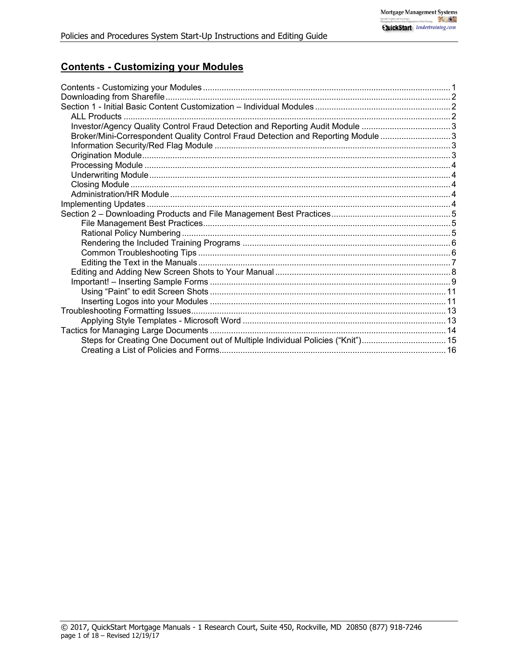# **Contents - Customizing your Modules**

| Investor/Agency Quality Control Fraud Detection and Reporting Audit Module 3      |  |
|-----------------------------------------------------------------------------------|--|
| Broker/Mini-Correspondent Quality Control Fraud Detection and Reporting Module  3 |  |
|                                                                                   |  |
|                                                                                   |  |
|                                                                                   |  |
|                                                                                   |  |
|                                                                                   |  |
|                                                                                   |  |
|                                                                                   |  |
|                                                                                   |  |
|                                                                                   |  |
|                                                                                   |  |
|                                                                                   |  |
|                                                                                   |  |
|                                                                                   |  |
|                                                                                   |  |
|                                                                                   |  |
|                                                                                   |  |
|                                                                                   |  |
|                                                                                   |  |
|                                                                                   |  |
|                                                                                   |  |
| Steps for Creating One Document out of Multiple Individual Policies ("Knit")15    |  |
|                                                                                   |  |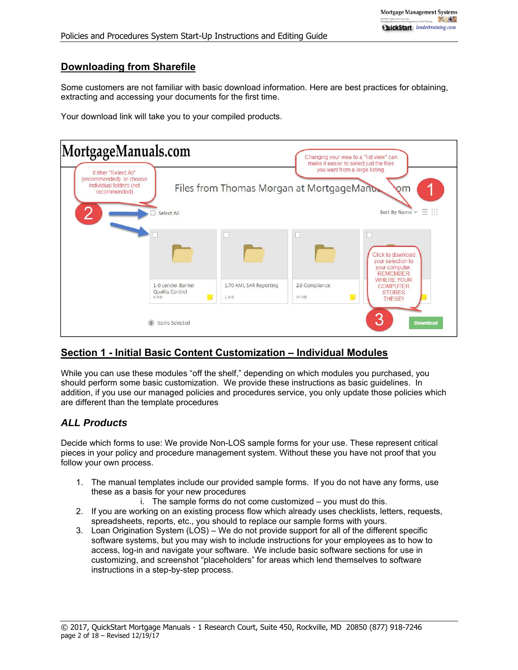## **Downloading from Sharefile**

Some customers are not familiar with basic download information. Here are best practices for obtaining, extracting and accessing your documents for the first time.

Your download link will take you to your compiled products.



# **Section 1 - Initial Basic Content Customization – Individual Modules**

While you can use these modules "off the shelf," depending on which modules you purchased, you should perform some basic customization. We provide these instructions as basic guidelines. In addition, if you use our managed policies and procedures service, you only update those policies which are different than the template procedures

## *ALL Products*

Decide which forms to use: We provide Non-LOS sample forms for your use. These represent critical pieces in your policy and procedure management system. Without these you have not proof that you follow your own process.

1. The manual templates include our provided sample forms. If you do not have any forms, use these as a basis for your new procedures

i. The sample forms do not come customized – you must do this.

- 2. If you are working on an existing process flow which already uses checklists, letters, requests, spreadsheets, reports, etc., you should to replace our sample forms with yours.
- 3. Loan Origination System (LOS) We do not provide support for all of the different specific software systems, but you may wish to include instructions for your employees as to how to access, log-in and navigate your software. We include basic software sections for use in customizing, and screenshot "placeholders" for areas which lend themselves to software instructions in a step-by-step process.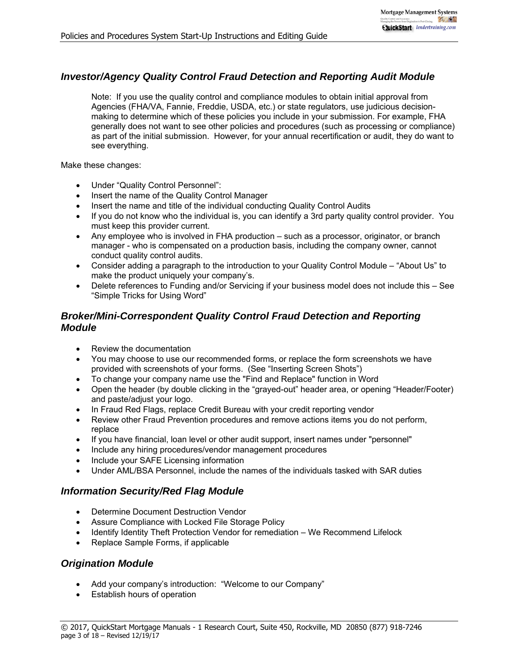# *Investor/Agency Quality Control Fraud Detection and Reporting Audit Module*

Note: If you use the quality control and compliance modules to obtain initial approval from Agencies (FHA/VA, Fannie, Freddie, USDA, etc.) or state regulators, use judicious decisionmaking to determine which of these policies you include in your submission. For example, FHA generally does not want to see other policies and procedures (such as processing or compliance) as part of the initial submission. However, for your annual recertification or audit, they do want to see everything.

Make these changes:

- Under "Quality Control Personnel":
- Insert the name of the Quality Control Manager
- Insert the name and title of the individual conducting Quality Control Audits
- If you do not know who the individual is, you can identify a 3rd party quality control provider. You must keep this provider current.
- Any employee who is involved in FHA production such as a processor, originator, or branch manager - who is compensated on a production basis, including the company owner, cannot conduct quality control audits.
- Consider adding a paragraph to the introduction to your Quality Control Module "About Us" to make the product uniquely your company's.
- Delete references to Funding and/or Servicing if your business model does not include this See "Simple Tricks for Using Word"

## *Broker/Mini-Correspondent Quality Control Fraud Detection and Reporting Module*

- Review the documentation
- You may choose to use our recommended forms, or replace the form screenshots we have provided with screenshots of your forms. (See "Inserting Screen Shots")
- To change your company name use the "Find and Replace" function in Word
- Open the header (by double clicking in the "grayed-out" header area, or opening "Header/Footer) and paste/adjust your logo.
- In Fraud Red Flags, replace Credit Bureau with your credit reporting vendor
- Review other Fraud Prevention procedures and remove actions items you do not perform, replace
- If you have financial, loan level or other audit support, insert names under "personnel"
- Include any hiring procedures/vendor management procedures
- Include your SAFE Licensing information
- Under AML/BSA Personnel, include the names of the individuals tasked with SAR duties

## *Information Security/Red Flag Module*

- Determine Document Destruction Vendor
- Assure Compliance with Locked File Storage Policy
- Identify Identity Theft Protection Vendor for remediation We Recommend Lifelock
- Replace Sample Forms, if applicable

## *Origination Module*

- Add your company's introduction: "Welcome to our Company"
- Establish hours of operation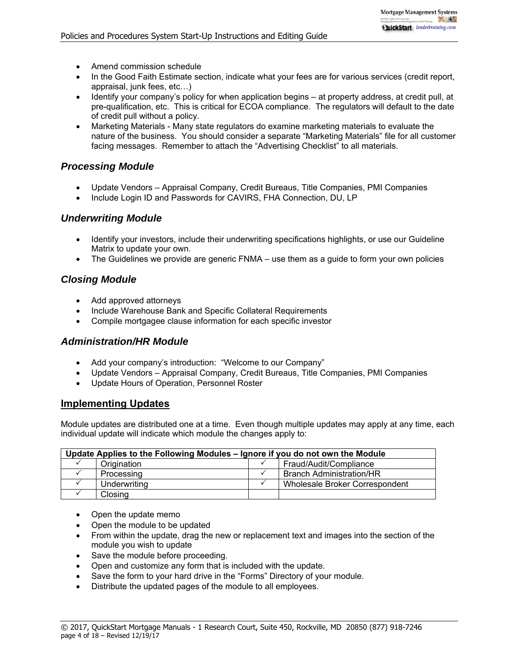- Amend commission schedule
- In the Good Faith Estimate section, indicate what your fees are for various services (credit report, appraisal, junk fees, etc…)
- Identify your company's policy for when application begins at property address, at credit pull, at pre-qualification, etc. This is critical for ECOA compliance. The regulators will default to the date of credit pull without a policy.
- Marketing Materials Many state regulators do examine marketing materials to evaluate the nature of the business. You should consider a separate "Marketing Materials" file for all customer facing messages. Remember to attach the "Advertising Checklist" to all materials.

## *Processing Module*

- Update Vendors Appraisal Company, Credit Bureaus, Title Companies, PMI Companies
- Include Login ID and Passwords for CAVIRS, FHA Connection, DU, LP

## *Underwriting Module*

- Identify your investors, include their underwriting specifications highlights, or use our Guideline Matrix to update your own.
- The Guidelines we provide are generic FNMA use them as a guide to form your own policies

## *Closing Module*

- Add approved attorneys
- Include Warehouse Bank and Specific Collateral Requirements
- Compile mortgagee clause information for each specific investor

#### *Administration/HR Module*

- Add your company's introduction: "Welcome to our Company"
- Update Vendors Appraisal Company, Credit Bureaus, Title Companies, PMI Companies
- Update Hours of Operation, Personnel Roster

#### **Implementing Updates**

Module updates are distributed one at a time. Even though multiple updates may apply at any time, each individual update will indicate which module the changes apply to:

| Update Applies to the Following Modules – Ignore if you do not own the Module |  |                                 |  |  |  |  |
|-------------------------------------------------------------------------------|--|---------------------------------|--|--|--|--|
| Origination                                                                   |  | Fraud/Audit/Compliance          |  |  |  |  |
| Processing                                                                    |  | <b>Branch Administration/HR</b> |  |  |  |  |
| Underwriting                                                                  |  | Wholesale Broker Correspondent  |  |  |  |  |
| Closing                                                                       |  |                                 |  |  |  |  |

- Open the update memo
- Open the module to be updated
- From within the update, drag the new or replacement text and images into the section of the module you wish to update
- Save the module before proceeding.
- Open and customize any form that is included with the update.
- Save the form to your hard drive in the "Forms" Directory of your module.
- Distribute the updated pages of the module to all employees.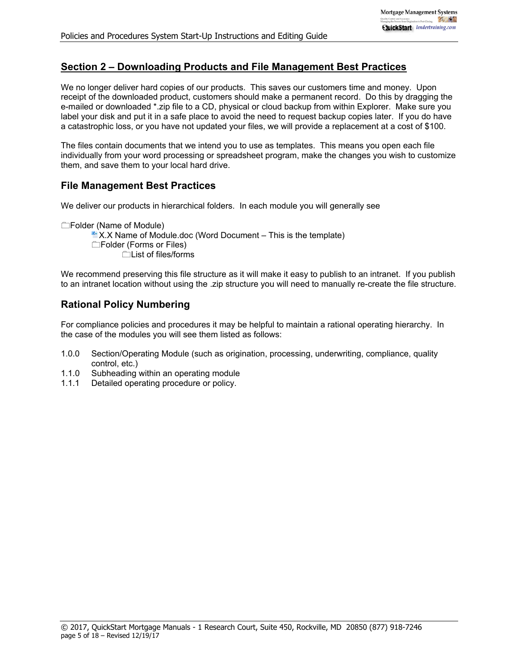## **Section 2 – Downloading Products and File Management Best Practices**

We no longer deliver hard copies of our products. This saves our customers time and money. Upon receipt of the downloaded product, customers should make a permanent record. Do this by dragging the e-mailed or downloaded \*.zip file to a CD, physical or cloud backup from within Explorer. Make sure you label your disk and put it in a safe place to avoid the need to request backup copies later. If you do have a catastrophic loss, or you have not updated your files, we will provide a replacement at a cost of \$100.

The files contain documents that we intend you to use as templates. This means you open each file individually from your word processing or spreadsheet program, make the changes you wish to customize them, and save them to your local hard drive.

## **File Management Best Practices**

We deliver our products in hierarchical folders. In each module you will generally see

Folder (Name of Module)

 $\mathbb{E}$  X.X Name of Module.doc (Word Document – This is the template)

Folder (Forms or Files)

List of files/forms

We recommend preserving this file structure as it will make it easy to publish to an intranet. If you publish to an intranet location without using the .zip structure you will need to manually re-create the file structure.

# **Rational Policy Numbering**

For compliance policies and procedures it may be helpful to maintain a rational operating hierarchy. In the case of the modules you will see them listed as follows:

- 1.0.0 Section/Operating Module (such as origination, processing, underwriting, compliance, quality control, etc.)
- 1.1.0 Subheading within an operating module
- 1.1.1 Detailed operating procedure or policy.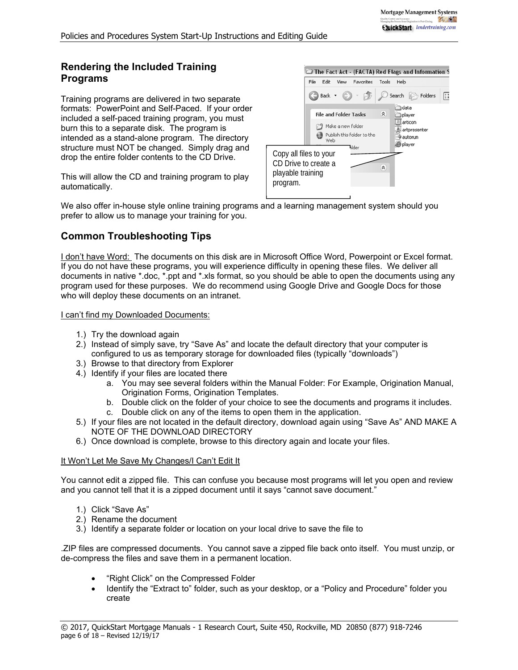## **Rendering the Included Training Programs**

Training programs are delivered in two separate formats: PowerPoint and Self-Paced. If your order included a self-paced training program, you must burn this to a separate disk. The program is intended as a stand-alone program. The directory structure must NOT be changed. Simply drag and drop the entire folder contents to the CD Drive.

This will allow the CD and training program to play automatically.



We also offer in-house style online training programs and a learning management system should you prefer to allow us to manage your training for you.

## **Common Troubleshooting Tips**

I don't have Word: The documents on this disk are in Microsoft Office Word, Powerpoint or Excel format. If you do not have these programs, you will experience difficulty in opening these files. We deliver all documents in native \*.doc, \*.ppt and \*.xls format, so you should be able to open the documents using any program used for these purposes. We do recommend using Google Drive and Google Docs for those who will deploy these documents on an intranet.

#### I can't find my Downloaded Documents:

- 1.) Try the download again
- 2.) Instead of simply save, try "Save As" and locate the default directory that your computer is configured to us as temporary storage for downloaded files (typically "downloads")
- 3.) Browse to that directory from Explorer
- 4.) Identify if your files are located there
	- a. You may see several folders within the Manual Folder: For Example, Origination Manual, Origination Forms, Origination Templates.
	- b. Double click on the folder of your choice to see the documents and programs it includes.
	- c. Double click on any of the items to open them in the application.
- 5.) If your files are not located in the default directory, download again using "Save As" AND MAKE A NOTE OF THE DOWNLOAD DIRECTORY
- 6.) Once download is complete, browse to this directory again and locate your files.

#### It Won't Let Me Save My Changes/I Can't Edit It

You cannot edit a zipped file. This can confuse you because most programs will let you open and review and you cannot tell that it is a zipped document until it says "cannot save document."

- 1.) Click "Save As"
- 2.) Rename the document
- 3.) Identify a separate folder or location on your local drive to save the file to

.ZIP files are compressed documents. You cannot save a zipped file back onto itself. You must unzip, or de-compress the files and save them in a permanent location.

- "Right Click" on the Compressed Folder
- Identify the "Extract to" folder, such as your desktop, or a "Policy and Procedure" folder you create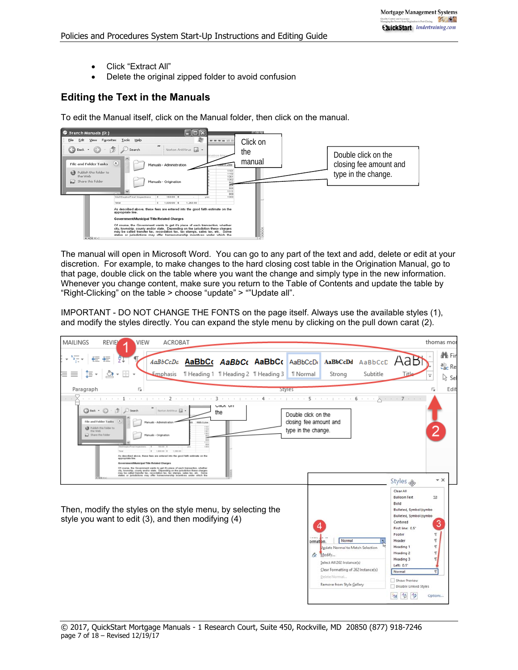- Click "Extract All"
- Delete the original zipped folder to avoid confusion

## **Editing the Text in the Manuals**

To edit the Manual itself, click on the Manual folder, then click on the manual.



The manual will open in Microsoft Word. You can go to any part of the text and add, delete or edit at your discretion. For example, to make changes to the hard closing cost table in the Origination Manual, go to that page, double click on the table where you want the change and simply type in the new information. Whenever you change content, make sure you return to the Table of Contents and update the table by "Right-Clicking" on the table > choose "update" > ""Update all".

IMPORTANT - DO NOT CHANGE THE FONTS on the page itself. Always use the available styles (1), and modify the styles directly. You can expand the style menu by clicking on the pull down carat (2).

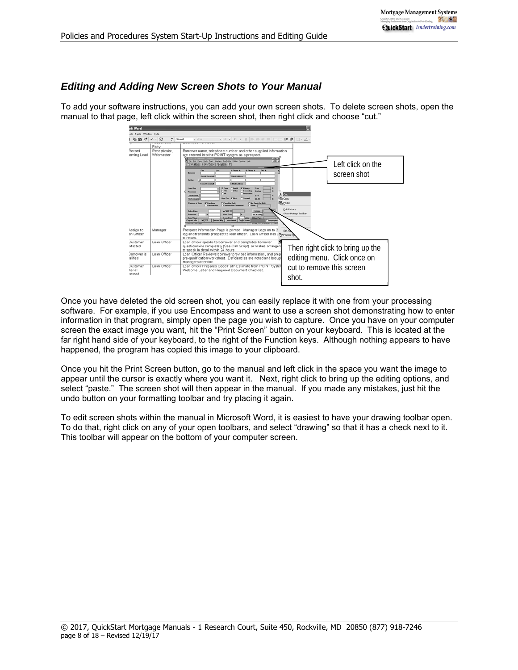#### *Editing and Adding New Screen Shots to Your Manual*

To add your software instructions, you can add your own screen shots. To delete screen shots, open the manual to that page, left click within the screen shot, then right click and choose "cut."



Once you have deleted the old screen shot, you can easily replace it with one from your processing software. For example, if you use Encompass and want to use a screen shot demonstrating how to enter information in that program, simply open the page you wish to capture. Once you have on your computer screen the exact image you want, hit the "Print Screen" button on your keyboard. This is located at the far right hand side of your keyboard, to the right of the Function keys. Although nothing appears to have happened, the program has copied this image to your clipboard.

Once you hit the Print Screen button, go to the manual and left click in the space you want the image to appear until the cursor is exactly where you want it. Next, right click to bring up the editing options, and select "paste." The screen shot will then appear in the manual. If you made any mistakes, just hit the undo button on your formatting toolbar and try placing it again.

To edit screen shots within the manual in Microsoft Word, it is easiest to have your drawing toolbar open. To do that, right click on any of your open toolbars, and select "drawing" so that it has a check next to it. This toolbar will appear on the bottom of your computer screen.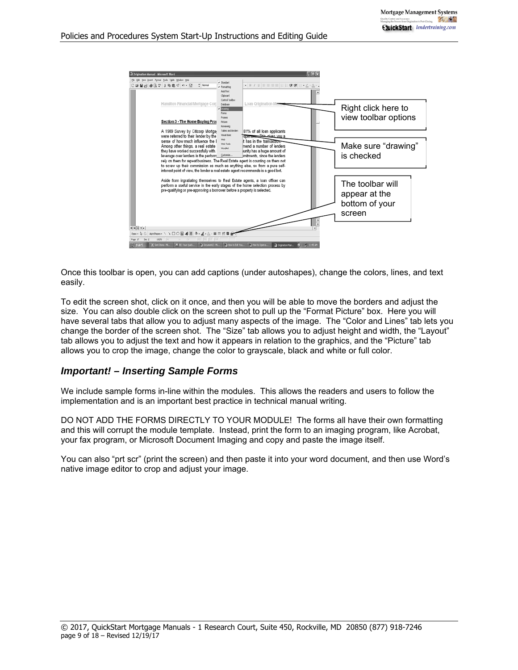

Once this toolbar is open, you can add captions (under autoshapes), change the colors, lines, and text easily.

To edit the screen shot, click on it once, and then you will be able to move the borders and adjust the size. You can also double click on the screen shot to pull up the "Format Picture" box. Here you will have several tabs that allow you to adjust many aspects of the image. The "Color and Lines" tab lets you change the border of the screen shot. The "Size" tab allows you to adjust height and width, the "Layout" tab allows you to adjust the text and how it appears in relation to the graphics, and the "Picture" tab allows you to crop the image, change the color to grayscale, black and white or full color.

#### *Important! – Inserting Sample Forms*

We include sample forms in-line within the modules. This allows the readers and users to follow the implementation and is an important best practice in technical manual writing.

DO NOT ADD THE FORMS DIRECTLY TO YOUR MODULE! The forms all have their own formatting and this will corrupt the module template. Instead, print the form to an imaging program, like Acrobat, your fax program, or Microsoft Document Imaging and copy and paste the image itself.

You can also "prt scr" (print the screen) and then paste it into your word document, and then use Word's native image editor to crop and adjust your image.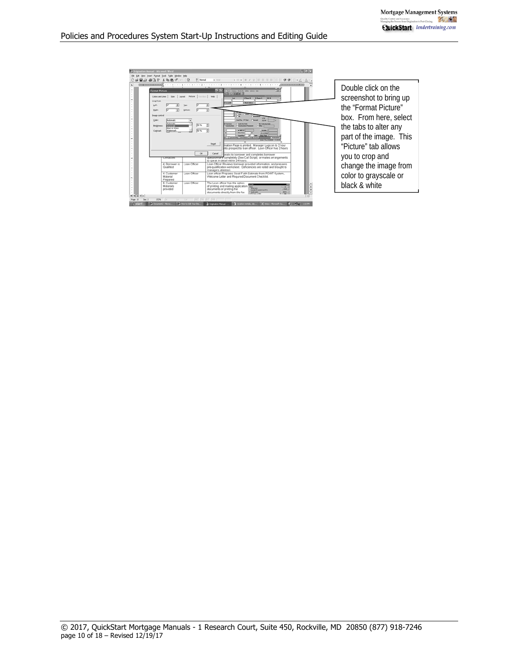| <sup>1</sup> Origination Manual - Microsoft Word<br>Elle Edit Yew Insert Format Inols Table Window Help                                                                 |                                                                                                                                                                                                                                                                                                                                                                                                                                                       | $-0$ $\times$                                                                                     |                                                                                                                                                                                                                                                                                                                                                                                                                                                      |
|-------------------------------------------------------------------------------------------------------------------------------------------------------------------------|-------------------------------------------------------------------------------------------------------------------------------------------------------------------------------------------------------------------------------------------------------------------------------------------------------------------------------------------------------------------------------------------------------------------------------------------------------|---------------------------------------------------------------------------------------------------|------------------------------------------------------------------------------------------------------------------------------------------------------------------------------------------------------------------------------------------------------------------------------------------------------------------------------------------------------------------------------------------------------------------------------------------------------|
| GBAA71580.00<br><b>Format Picture</b><br>Crop from<br>Image control<br>Automatic<br>Adonatic<br><b>Brightness</b><br><b>Black &amp; White</b><br>Wabermark<br>Contrast: | $+$ <i>held</i><br>2 X in just mean highly gain year pa-<br>additional<br>$B$ is lately $B$<br><b>Hillman</b> R.<br><b><i>B Phone B</i></b><br><b>FAILE</b><br><b>Mail Address</b><br><b>GLYW</b><br>Taking Bull<br><b>By East For Full</b><br>괽<br>of MIP 24<br><b>Security</b><br><b>Card State</b><br><b>ME &amp; ORAL</b><br><b>Bas Park</b><br><b>Second Mig   Secretaent   Could Scores</b><br><b>Rene now</b><br><b><i>U.M. Des Entrem</i></b> | $\Box$ + $\angle$ + $\Delta$ + ,                                                                  | Double click on the<br>screenshot to bring up<br>the "Format Picture"<br>box. From here, select<br>the tabs to alter any<br>part of the image. This                                                                                                                                                                                                                                                                                                  |
| एसकारण<br>4. Romower is<br>Qualified                                                                                                                                    | <b>Reget</b><br>Cancel<br>beaks to borrower and completes borrower<br>to speak in detail within 24 hours.                                                                                                                                                                                                                                                                                                                                             |                                                                                                   | "Picture" tab allows<br>you to crop and<br>change the image from                                                                                                                                                                                                                                                                                                                                                                                     |
| 4. Customer<br>Material<br>Prepared<br>6. Customer<br><b>Materials</b><br>provided                                                                                      | managers attention<br>Welcome Letter and Required Document Checklist<br>The Loan officer has the option<br>of printing and mailing application<br><b>Bullet of Allen</b><br>documents or printing the<br><b>Sandall'Australia Installato</b>                                                                                                                                                                                                          | $\overline{\phantom{a}}$                                                                          | color to grayscale or<br>black & white                                                                                                                                                                                                                                                                                                                                                                                                               |
|                                                                                                                                                                         | Loan Officer<br>Loan Officer<br>Loan Officer                                                                                                                                                                                                                                                                                                                                                                                                          | <sup>38</sup> Romal<br>Colors and Lines   Spe   Layout Pichare   Tent Box   Web  <br>50%<br>Form. | $\bullet$ 10 $\bullet$ 11 $I$ U E H H H E E OR OR<br>mation Page is printed. Manager Logs on to 2 hour<br>nits prospect to loan officer. Loan Officer has 2 hours.<br><b>ORSOOTTETY</b> completely (See Call Script) or makes arrangements<br>Loan Officer Reviews borrower provided information, and prepares<br>pre-qualification worksheet. Deficiencies are noted and brought to<br>Loan officer Prepares Good Faith Estimate from POINT System, |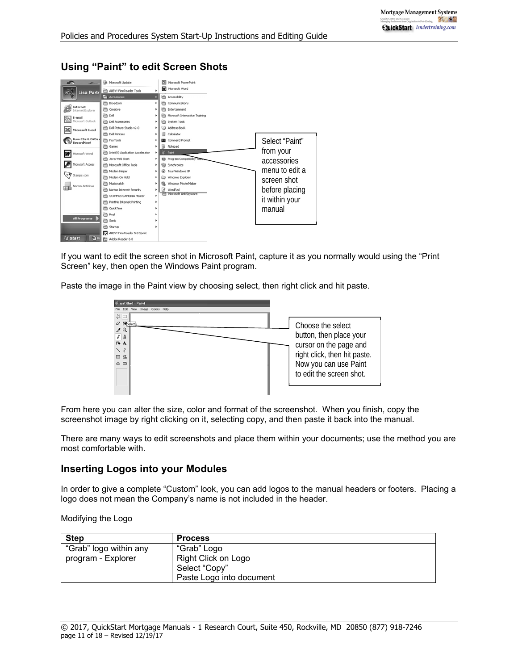|                                                   | A Microsoft Update                    |   | Microsoft PowerPoint           |                |
|---------------------------------------------------|---------------------------------------|---|--------------------------------|----------------|
| Lisa Partr                                        | ABBYY FineReader Tools                |   | Microsoft Word                 |                |
|                                                   | <b>Accessories</b>                    |   | Accessibility                  |                |
|                                                   | <b>mit</b> Broadcom                   | ٠ | Communications                 |                |
| Internet<br>Internet Explorer                     | (TI) Creative                         |   | Entertainment                  |                |
| E-mail                                            | ifft Dell                             |   | Microsoft Interactive Training |                |
| Microsoft Outlook                                 | <b>COL</b> Dell Accessories           |   | System Tools                   |                |
| Microsoft Excel                                   | (m) Dell Picture Studio v2.0          |   | Address Book                   |                |
|                                                   | <b>CD</b> Dell Printers               |   | Calculator                     |                |
| <b>Jurn CDs &amp; DVDs (</b><br><b>RecordNowl</b> | <b>TTT</b> FaxTools                   |   | Command Prompt                 | Select "Paint" |
|                                                   | <b>Imit</b> Games                     |   | Notepad                        |                |
| Microsoft Word<br>w                               | Intel(R) Application Accelerator      |   | Paint                          | from your      |
|                                                   | Java Web Start<br>m                   |   | (b) Program Compatibility W    | accessories    |
| Microsoft Access                                  | <b>Microsoft Office Tools</b>         |   | <b>Gill</b> Synchronize        |                |
|                                                   | Modern Helper                         |   | Tour Windows XP                | menu to edit a |
| Stamps.com                                        | Modem On Hold                         |   | Windows Explorer               | screen shot    |
| Norton AntiVirus                                  | m<br>Musicmatch                       |   | Windows Movie Maker            |                |
|                                                   | Norton Internet Security              |   | WordPad                        | before placing |
|                                                   | OLYMPUS CAMEDIA Master                |   | Microsoft AntiSpyware          |                |
|                                                   | <b>Mill</b> PrintMe Internet Printing |   |                                | it within your |
|                                                   | (m) QuickTime                         |   |                                | manual         |
|                                                   | <b>ITT</b> Real                       |   |                                |                |
| <b>All Programs</b>                               | Sonic                                 |   |                                |                |
|                                                   | Startup<br>m                          |   |                                |                |
|                                                   | ABBYY FineReader 5.0 Sprint           |   |                                |                |
| <b>Start</b><br>图                                 | Adobe Reader 6.0                      |   |                                |                |

# **Using "Paint" to edit Screen Shots**

If you want to edit the screen shot in Microsoft Paint, capture it as you normally would using the "Print Screen" key, then open the Windows Paint program.

Paste the image in the Paint view by choosing select, then right click and hit paste.



From here you can alter the size, color and format of the screenshot. When you finish, copy the screenshot image by right clicking on it, selecting copy, and then paste it back into the manual.

There are many ways to edit screenshots and place them within your documents; use the method you are most comfortable with.

## **Inserting Logos into your Modules**

In order to give a complete "Custom" look, you can add logos to the manual headers or footers. Placing a logo does not mean the Company's name is not included in the header.

Modifying the Logo

| <b>Step</b>            | <b>Process</b>           |
|------------------------|--------------------------|
| "Grab" logo within any | "Grab" Logo              |
| program - Explorer     | Right Click on Logo      |
|                        | Select "Copy"            |
|                        | Paste Logo into document |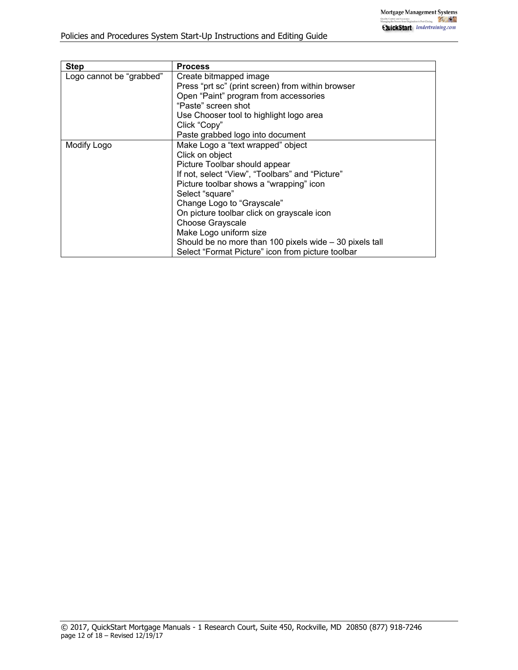| <b>Step</b>              | <b>Process</b>                                           |
|--------------------------|----------------------------------------------------------|
| Logo cannot be "grabbed" | Create bitmapped image                                   |
|                          | Press "prt sc" (print screen) from within browser        |
|                          | Open "Paint" program from accessories                    |
|                          | "Paste" screen shot                                      |
|                          | Use Chooser tool to highlight logo area                  |
|                          | Click "Copy"                                             |
|                          | Paste grabbed logo into document                         |
| Modify Logo              | Make Logo a "text wrapped" object                        |
|                          | Click on object                                          |
|                          | Picture Toolbar should appear                            |
|                          | If not, select "View", "Toolbars" and "Picture"          |
|                          | Picture toolbar shows a "wrapping" icon                  |
|                          | Select "square"                                          |
|                          | Change Logo to "Grayscale"                               |
|                          | On picture toolbar click on grayscale icon               |
|                          | <b>Choose Grayscale</b>                                  |
|                          | Make Logo uniform size                                   |
|                          | Should be no more than 100 pixels wide $-30$ pixels tall |
|                          | Select "Format Picture" icon from picture toolbar        |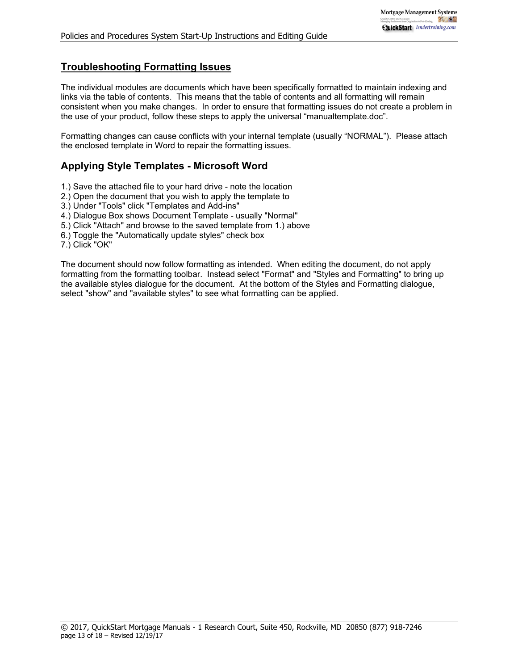## **Troubleshooting Formatting Issues**

The individual modules are documents which have been specifically formatted to maintain indexing and links via the table of contents. This means that the table of contents and all formatting will remain consistent when you make changes. In order to ensure that formatting issues do not create a problem in the use of your product, follow these steps to apply the universal "manualtemplate.doc".

Formatting changes can cause conflicts with your internal template (usually "NORMAL"). Please attach the enclosed template in Word to repair the formatting issues.

## **Applying Style Templates - Microsoft Word**

- 1.) Save the attached file to your hard drive note the location
- 2.) Open the document that you wish to apply the template to
- 3.) Under "Tools" click "Templates and Add-ins"
- 4.) Dialogue Box shows Document Template usually "Normal"
- 5.) Click "Attach" and browse to the saved template from 1.) above
- 6.) Toggle the "Automatically update styles" check box
- 7.) Click "OK"

The document should now follow formatting as intended. When editing the document, do not apply formatting from the formatting toolbar. Instead select "Format" and "Styles and Formatting" to bring up the available styles dialogue for the document. At the bottom of the Styles and Formatting dialogue, select "show" and "available styles" to see what formatting can be applied.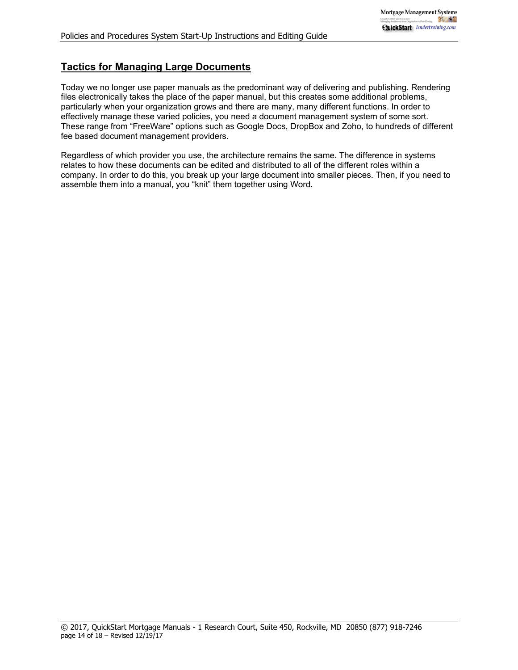# **Tactics for Managing Large Documents**

Today we no longer use paper manuals as the predominant way of delivering and publishing. Rendering files electronically takes the place of the paper manual, but this creates some additional problems, particularly when your organization grows and there are many, many different functions. In order to effectively manage these varied policies, you need a document management system of some sort. These range from "FreeWare" options such as Google Docs, DropBox and Zoho, to hundreds of different fee based document management providers.

Regardless of which provider you use, the architecture remains the same. The difference in systems relates to how these documents can be edited and distributed to all of the different roles within a company. In order to do this, you break up your large document into smaller pieces. Then, if you need to assemble them into a manual, you "knit" them together using Word.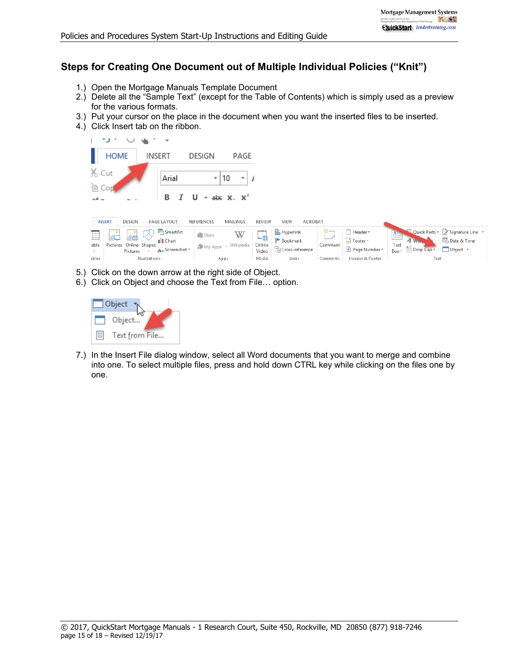# **Steps for Creating One Document out of Multiple Individual Policies ("Knit")**

- 1.) Open the Mortgage Manuals Template Document
- 2.) Delete all the "Sample Text" (except for the Table of Contents) which is simply used as a preview for the various formats.
- 3.) Put your cursor on the place in the document when you want the inserted files to be inserted.
- 4.) Click Insert tab on the ribbon.



- 5.) Click on the down arrow at the right side of Object.
- 6.) Click on Object and choose the Text from File… option.



7.) In the Insert File dialog window, select all Word documents that you want to merge and combine into one. To select multiple files, press and hold down CTRL key while clicking on the files one by one.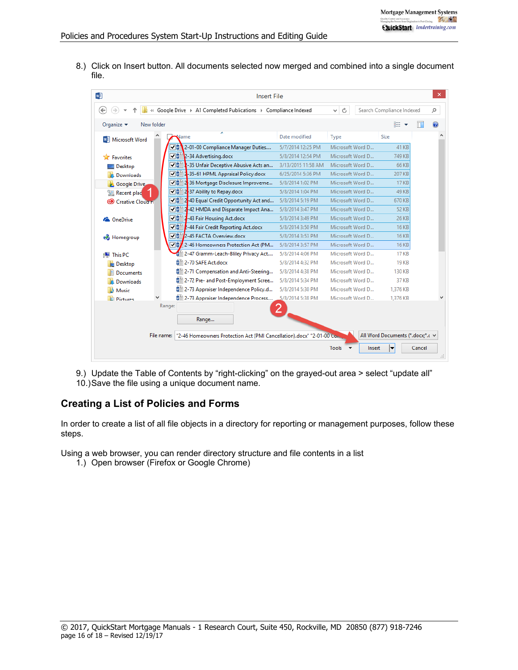8.) Click on Insert button. All documents selected now merged and combined into a single document file.

| w                                           |            | <b>Insert File</b>                                                    |                    |                                      |                                  |        |
|---------------------------------------------|------------|-----------------------------------------------------------------------|--------------------|--------------------------------------|----------------------------------|--------|
| ←                                           |            | « Google Drive > A1 Completed Publications > Compliance Indexed       |                    | Ġ<br>v                               | Search Compliance Indexed        | م      |
| Organize $\blacktriangledown$<br>New folder |            |                                                                       |                    |                                      | 988 ▼                            | ⋒      |
| <b>WE</b> Microsoft Word                    |            | ₩ame                                                                  | Date modified      | Type                                 | <b>Size</b>                      |        |
|                                             |            | √ 4 2-01-00 Compliance Manager Duties                                 | 5/7/2014 12:25 PM  | Microsoft Word D                     | 41 KB                            |        |
| <b>Favorites</b>                            |            | √ M <sup>a</sup> 2-34 Advertising.docx                                | 5/8/2014 12:54 PM  | Microsoft Word D                     | 749 KB                           |        |
| Desktop                                     |            | ⊽™<br>1-35 Unfair Deceptive Abusive Acts an                           | 3/13/2015 11:58 AM | Microsoft Word D                     | 66 KB                            |        |
| Downloads                                   |            | √ $\frac{1}{2}$ 35-61 HPML Appraisal Policy.docx                      | 6/25/2014 5:36 PM  | Microsoft Word D                     | 207 KB                           |        |
| Google Drive                                |            | √ $\frac{1}{2}$ 2-36 Mortgage Disclosure Improveme                    | 5/8/2014 1:02 PM   | Microsoft Word D                     | 17 KB                            |        |
| Recent plac                                 |            | √ ■ 2-37 Ability to Repay.docx                                        | 5/8/2014 1:04 PM   | Microsoft Word D                     | 49 KB                            |        |
| Creative Cloud FL                           |            | √ $\frac{1}{2}$ 2-40 Equal Credit Opportunity Act and                 | 5/8/2014 5:19 PM   | Microsoft Word D                     | 670 KB                           |        |
|                                             |            | √ $\frac{1}{2}$ 2-42 HMDA and Disparate Impact Ana                    | 5/8/2014 3:47 PM   | Microsoft Word D                     | 52 KB                            |        |
| <b>Complete</b> OneDrive                    |            | √ ■ 4-43 Fair Housing Act.docx                                        | 5/8/2014 3:49 PM   | Microsoft Word D                     | 26 KB                            |        |
|                                             |            | √ ■ L-44 Fair Credit Reporting Act.docx                               | 5/8/2014 3:50 PM   | Microsoft Word D                     | <b>16 KB</b>                     |        |
| <b>R</b> Homegroup                          |            | V <sup>®</sup> 2-45 FACTA Overview.docx                               | 5/8/2014 3:53 PM   | Microsoft Word D                     | <b>16 KB</b>                     |        |
|                                             |            | √ <sup>1</sup> / <sub>2</sub> -46 Homeowners Protection Act (PM       | 5/8/2014 3:57 PM   | Microsoft Word D                     | <b>16 KB</b>                     |        |
| This PC                                     |            | 2-47 Gramm-Leach-Bliley Privacy Act                                   | 5/8/2014 4:06 PM   | Microsoft Word D                     | <b>17 KB</b>                     |        |
| Desktop                                     |            | ■ 2-70 SAFE Act.docx                                                  | 5/8/2014 4:32 PM   | Microsoft Word D                     | <b>19 KB</b>                     |        |
| <b>Documents</b>                            |            | ■ 2-71 Compensation and Anti-Steering                                 | 5/8/2014 4:38 PM   | Microsoft Word D                     | <b>130 KB</b>                    |        |
| <b>Downloads</b>                            |            | ■ 2-72 Pre- and Post-Employment Scree                                 | 5/8/2014 5:34 PM   | Microsoft Word D                     | 37 KB                            |        |
| Music                                       |            | ■ 2-73 Appraiser Independence Policy.d                                | 5/8/2014 5:30 PM   | Microsoft Word D                     | 1.376 KB                         |        |
| <b>El Pictures</b>                          |            | 2-73 Appraiser Independence Process                                   | 5/8/2014 5:38 PM   | Microsoft Word D                     | 1,376 KB                         |        |
|                                             | Range:     | Range                                                                 |                    |                                      |                                  |        |
|                                             | File name: | "2-46 Homeowners Protection Act (PMI Cancellation).docx" "2-01-00 Con |                    |                                      | All Word Documents (*.docx;*.c ∨ |        |
|                                             |            |                                                                       |                    | Tools $\blacktriangledown$<br>Insert |                                  | Cancel |

9.) Update the Table of Contents by "right-clicking" on the grayed-out area > select "update all" 10.) Save the file using a unique document name.

## **Creating a List of Policies and Forms**

In order to create a list of all file objects in a directory for reporting or management purposes, follow these steps.

Using a web browser, you can render directory structure and file contents in a list

1.) Open browser (Firefox or Google Chrome)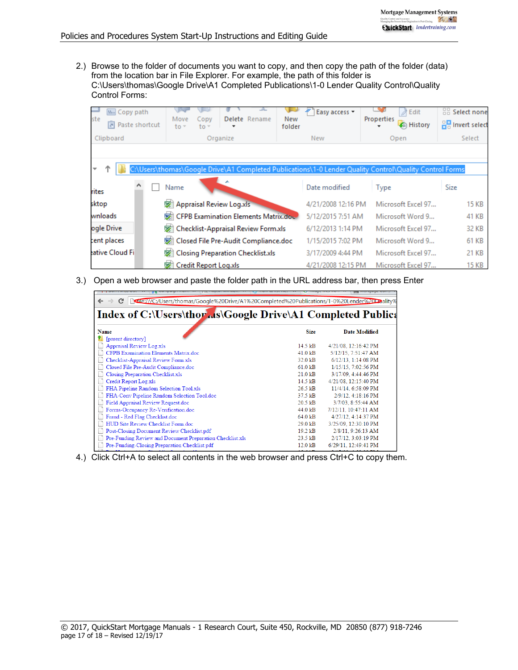2.) Browse to the folder of documents you want to copy, and then copy the path of the folder (data) from the location bar in File Explorer. For example, the path of this folder is C:\Users\thomas\Google Drive\A1 Completed Publications\1-0 Lender Quality Control\Quality Control Forms:

| <b>W</b> . Copy path<br>ste<br>नि<br>Paste shortcut | Delete Rename<br>Move<br>Copy<br>$\frac{1}{2}$<br>$to -$                                                | ₽<br>Easy access *<br>New<br>folder | $\lambda$ Edit<br>Properties<br><b>C</b> History | 品 Select none<br>음명 Invert select |  |
|-----------------------------------------------------|---------------------------------------------------------------------------------------------------------|-------------------------------------|--------------------------------------------------|-----------------------------------|--|
| Clipboard                                           | Organize                                                                                                | New                                 | Open                                             | Select                            |  |
|                                                     |                                                                                                         |                                     |                                                  |                                   |  |
| ÷                                                   | C:\Users\thomas\Google Drive\A1 Completed Publications\1-0 Lender Quality Control\Quality Control Forms |                                     |                                                  |                                   |  |
| rites                                               | Name                                                                                                    | Date modified                       | Type                                             | Size                              |  |
| sktop                                               | <b>Sil Appraisal Review Log.xls</b>                                                                     | 4/21/2008 12:16 PM                  | Microsoft Excel 97                               | <b>15 KB</b>                      |  |
| wnloads                                             | CFPB Examination Elements Matrix.doc                                                                    | 5/12/2015 7:51 AM                   | Microsoft Word 9                                 | 41 KB                             |  |
| ogle Drive                                          | [set] Checklist-Appraisal Review Form.xls                                                               | 6/12/2013 1:14 PM                   | Microsoft Excel 97                               | 32 KB                             |  |
| cent places                                         | Closed File Pre-Audit Compliance.doc                                                                    | 1/15/2015 7:02 PM                   | Microsoft Word 9                                 | 61 KB                             |  |
| eative Cloud Fil                                    | [ Closing Preparation Checklist.xls                                                                     | 3/17/2009 4:44 PM                   | Microsoft Excel 97                               | 21 KB                             |  |
|                                                     | <b>Sil Credit Report Log.xls</b>                                                                        | 4/21/2008 12:15 PM                  | Microsoft Excel 97                               | 15 KB                             |  |

3.) Open a web browser and paste the folder path in the URL address bar, then press Enter

| edicity/C:/Users/thomas/Google%20Drive/A1%20Completed%20Publications/1-0%20Lender%20Paality% |                   |                      |  |  |  |  |
|----------------------------------------------------------------------------------------------|-------------------|----------------------|--|--|--|--|
| Index of C:\Users\thor is\Google Drive\A1 Completed Publica                                  |                   |                      |  |  |  |  |
| <b>Name</b>                                                                                  | <b>Size</b>       | <b>Date Modified</b> |  |  |  |  |
| [parent directory]                                                                           |                   |                      |  |  |  |  |
| <b>Appraisal Review Log xls</b>                                                              | $14.5$ kB         | 4/21/08, 12:16:42 PM |  |  |  |  |
| CFPB Examination Elements Matrix.doc                                                         | $41.0 \text{ kB}$ | 5/12/15, 7:51:47 AM  |  |  |  |  |
| Checklist-Appraisal Review Form.xls                                                          | $32.0 \text{ kB}$ | 6/12/13. 1:14:08 PM  |  |  |  |  |
| Closed File Pre-Audit Compliance.doc                                                         | 61.0 kB           | 1/15/15, 7:02:56 PM  |  |  |  |  |
| Closing Preparation Checklist.xls                                                            | $21.0$ kB         | 3/17/09, 4:44:46 PM  |  |  |  |  |
| Credit Report Log.xls                                                                        | $14.5$ kB         | 4/21/08, 12:15:40 PM |  |  |  |  |
| FHA Pipeline Random Selection Tool.xls                                                       | 26.5 kB           | 11/4/14, 6:58:09 PM  |  |  |  |  |
| FHA-Conv Pipeline Random Selection Tool.doc                                                  | $37.5$ kB         | 2/9/12, 4:18:16 PM   |  |  |  |  |
| Field Appraisal Review Request.doc                                                           | $20.5$ kB         | 3/7/03. 8:55:44 AM   |  |  |  |  |
| Forms-Occupancy Re-Verification.doc                                                          | 44.0 kB           | 7/12/11, 10:47:11 AM |  |  |  |  |
| Fraud - Red Flag Checklist.doc                                                               | 64.0 kB           | 4/27/12, 4:14:37 PM  |  |  |  |  |
| HUD Site Review Checklist Form.doc                                                           | $29.0 \text{ kB}$ | 3/25/09, 12:30:10 PM |  |  |  |  |
| Post-Closing Document Review Checklist.pdf                                                   | $19.2 \text{ kB}$ | 2/8/11.9:26:13 AM    |  |  |  |  |
| Pre-Funding Review and Document Preparation Checklist.xls                                    | $23.5$ kB         | 2/17/12, 3:03:19 PM  |  |  |  |  |
| Pre-Funding-Closing Preparation Checklist.pdf                                                | $12.0$ kB         | 6/29/11, 12:49:41 PM |  |  |  |  |
|                                                                                              |                   |                      |  |  |  |  |

4.) Click Ctrl+A to select all contents in the web browser and press Ctrl+C to copy them.